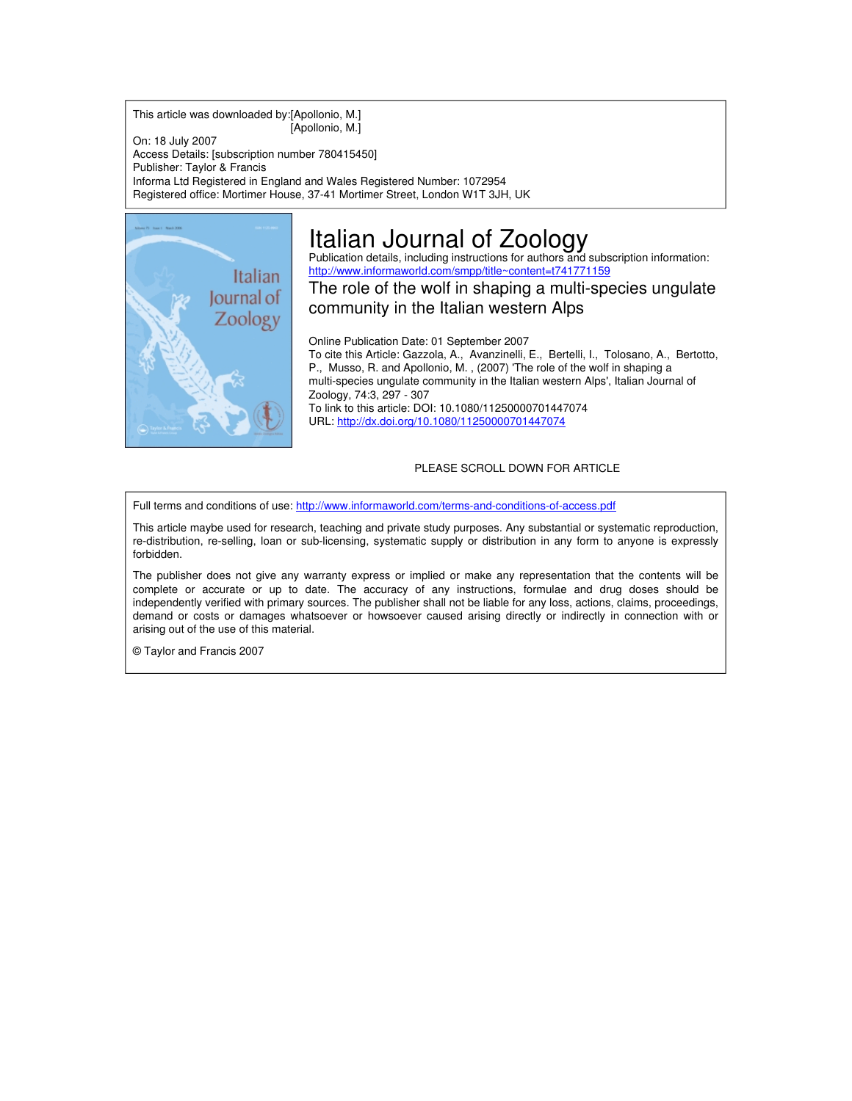This article was downloaded by:[Apollonio, M.] [Apollonio, M.]

On: 18 July 2007 Access Details: [subscription number 780415450] Publisher: Taylor & Francis Informa Ltd Registered in England and Wales Registered Number: 1072954 Registered office: Mortimer House, 37-41 Mortimer Street, London W1T 3JH, UK



# Italian Journal of Zoology

Publication details, including instructions for authors and subscription information: <http://www.informaworld.com/smpp/title~content=t741771159>

The role of the wolf in shaping a multi-species ungulate community in the Italian western Alps

Online Publication Date: 01 September 2007 To cite this Article: Gazzola, A., Avanzinelli, E., Bertelli, I., Tolosano, A., Bertotto, P., Musso, R. and Apollonio, M. , (2007) 'The role of the wolf in shaping a multi-species ungulate community in the Italian western Alps', Italian Journal of Zoology, 74:3, 297 - 307 To link to this article: DOI: 10.1080/11250000701447074 URL: <http://dx.doi.org/10.1080/11250000701447074>

### PLEASE SCROLL DOWN FOR ARTICLE

Full terms and conditions of use: <http://www.informaworld.com/terms-and-conditions-of-access.pdf>

This article maybe used for research, teaching and private study purposes. Any substantial or systematic reproduction, re-distribution, re-selling, loan or sub-licensing, systematic supply or distribution in any form to anyone is expressly forbidden.

The publisher does not give any warranty express or implied or make any representation that the contents will be complete or accurate or up to date. The accuracy of any instructions, formulae and drug doses should be independently verified with primary sources. The publisher shall not be liable for any loss, actions, claims, proceedings, demand or costs or damages whatsoever or howsoever caused arising directly or indirectly in connection with or arising out of the use of this material.

© Taylor and Francis 2007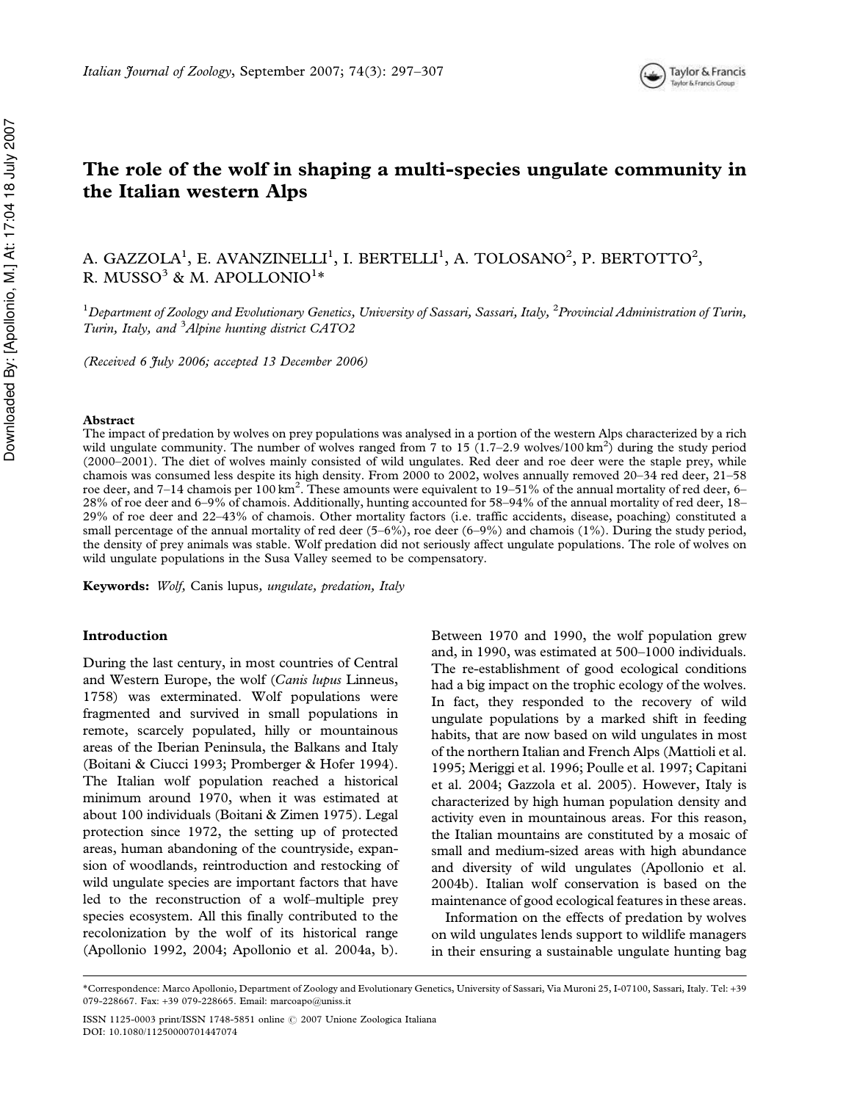

## The role of the wolf in shaping a multi-species ungulate community in the Italian western Alps

A. GAZZOLA<sup>1</sup>, E. AVANZINELLI<sup>1</sup>, I. BERTELLI<sup>1</sup>, A. TOLOSANO<sup>2</sup>, P. BERTOTTO<sup>2</sup>, R. MUSSO $^3$  & M. APOLLONIO $^{1\ast}$ 

 $^1$ Department of Zoology and Evolutionary Genetics, University of Sassari, Sassari, Italy,  $^2$ Provincial Administration of Turin, Turin, Italy, and <sup>3</sup>Alpine hunting district CATO2

(Received 6 July 2006; accepted 13 December 2006)

### Abstract

The impact of predation by wolves on prey populations was analysed in a portion of the western Alps characterized by a rich wild ungulate community. The number of wolves ranged from 7 to 15  $(1.7-2.9 \text{ wolves}/100 \text{ km}^2)$  during the study period (2000–2001). The diet of wolves mainly consisted of wild ungulates. Red deer and roe deer were the staple prey, while chamois was consumed less despite its high density. From 2000 to 2002, wolves annually removed 20–34 red deer, 21–58 roe deer, and 7–14 chamois per  $100 \text{ km}^2$ . These amounts were equivalent to 19–51% of the annual mortality of red deer, 6– 28% of roe deer and 6–9% of chamois. Additionally, hunting accounted for 58–94% of the annual mortality of red deer, 18– 29% of roe deer and 22–43% of chamois. Other mortality factors (i.e. traffic accidents, disease, poaching) constituted a small percentage of the annual mortality of red deer (5–6%), roe deer (6–9%) and chamois (1%). During the study period, the density of prey animals was stable. Wolf predation did not seriously affect ungulate populations. The role of wolves on wild ungulate populations in the Susa Valley seemed to be compensatory.

Keywords: Wolf, Canis lupus, ungulate, predation, Italy

### Introduction

During the last century, in most countries of Central and Western Europe, the wolf (Canis lupus Linneus, 1758) was exterminated. Wolf populations were fragmented and survived in small populations in remote, scarcely populated, hilly or mountainous areas of the Iberian Peninsula, the Balkans and Italy (Boitani & Ciucci 1993; Promberger & Hofer 1994). The Italian wolf population reached a historical minimum around 1970, when it was estimated at about 100 individuals (Boitani & Zimen 1975). Legal protection since 1972, the setting up of protected areas, human abandoning of the countryside, expansion of woodlands, reintroduction and restocking of wild ungulate species are important factors that have led to the reconstruction of a wolf–multiple prey species ecosystem. All this finally contributed to the recolonization by the wolf of its historical range (Apollonio 1992, 2004; Apollonio et al. 2004a, b).

Between 1970 and 1990, the wolf population grew and, in 1990, was estimated at 500–1000 individuals. The re-establishment of good ecological conditions had a big impact on the trophic ecology of the wolves. In fact, they responded to the recovery of wild ungulate populations by a marked shift in feeding habits, that are now based on wild ungulates in most of the northern Italian and French Alps (Mattioli et al. 1995; Meriggi et al. 1996; Poulle et al. 1997; Capitani et al. 2004; Gazzola et al. 2005). However, Italy is characterized by high human population density and activity even in mountainous areas. For this reason, the Italian mountains are constituted by a mosaic of small and medium-sized areas with high abundance and diversity of wild ungulates (Apollonio et al. 2004b). Italian wolf conservation is based on the maintenance of good ecological features in these areas.

Information on the effects of predation by wolves on wild ungulates lends support to wildlife managers in their ensuring a sustainable ungulate hunting bag

<sup>\*</sup>Correspondence: Marco Apollonio, Department of Zoology and Evolutionary Genetics, University of Sassari, Via Muroni 25, I-07100, Sassari, Italy. Tel: +39 079-228667. Fax: +39 079-228665. Email: marcoapo@uniss.it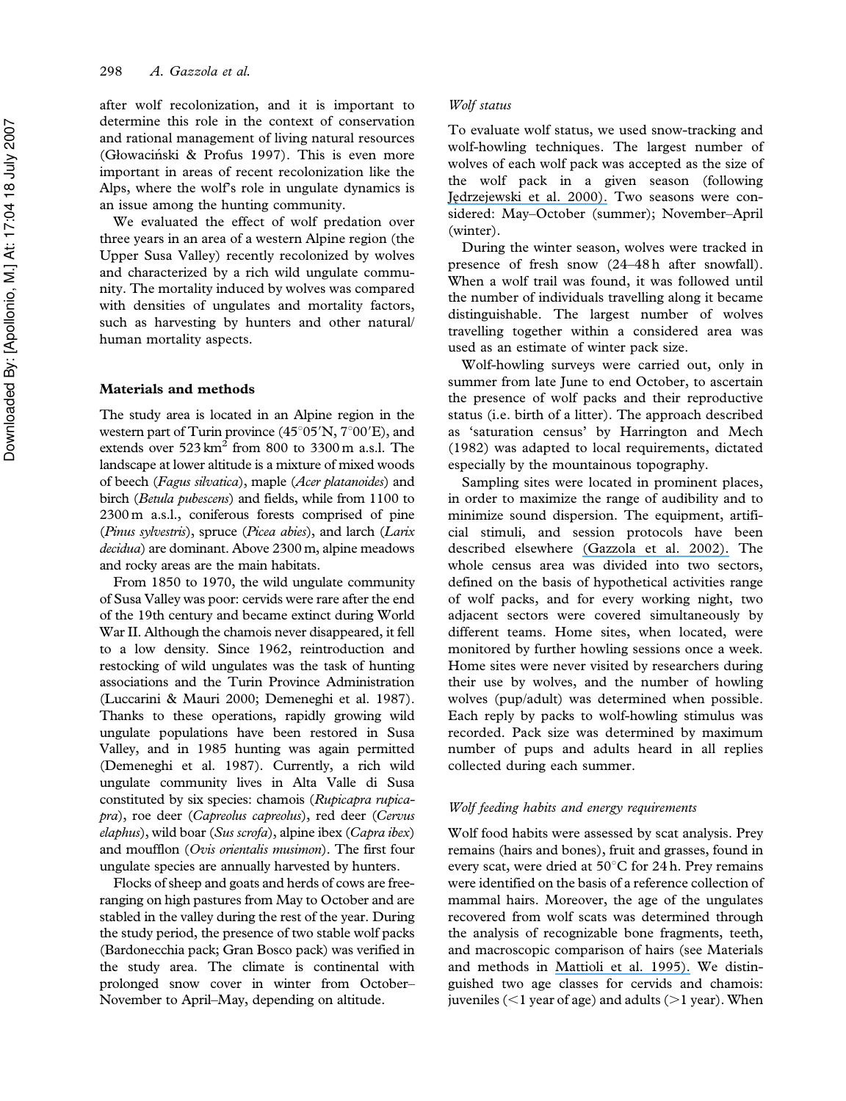after wolf recolonization, and it is important to determine this role in the context of conservation and rational management of living natural resources (Głowaciński & Profus 1997). This is even more important in areas of recent recolonization like the Alps, where the wolf's role in ungulate dynamics is an issue among the hunting community.

We evaluated the effect of wolf predation over three years in an area of a western Alpine region (the Upper Susa Valley) recently recolonized by wolves and characterized by a rich wild ungulate community. The mortality induced by wolves was compared with densities of ungulates and mortality factors, such as harvesting by hunters and other natural/ human mortality aspects.

### Materials and methods

The study area is located in an Alpine region in the western part of Turin province  $(45^{\circ}05'N, 7^{\circ}00'E)$ , and extends over  $523 \text{ km}^2$  from 800 to 3300 m a.s.l. The landscape at lower altitude is a mixture of mixed woods of beech (Fagus silvatica), maple (Acer platanoides) and birch (Betula pubescens) and fields, while from 1100 to 2300 m a.s.l., coniferous forests comprised of pine (Pinus sylvestris), spruce (Picea abies), and larch (Larix decidua) are dominant. Above 2300 m, alpine meadows and rocky areas are the main habitats.

From 1850 to 1970, the wild ungulate community of Susa Valley was poor: cervids were rare after the end of the 19th century and became extinct during World War II. Although the chamois never disappeared, it fell to a low density. Since 1962, reintroduction and restocking of wild ungulates was the task of hunting associations and the Turin Province Administration (Luccarini & Mauri 2000; Demeneghi et al. 1987). Thanks to these operations, rapidly growing wild ungulate populations have been restored in Susa Valley, and in 1985 hunting was again permitted (Demeneghi et al. 1987). Currently, a rich wild ungulate community lives in Alta Valle di Susa constituted by six species: chamois (Rupicapra rupicapra), roe deer (Capreolus capreolus), red deer (Cervus elaphus), wild boar (Sus scrofa), alpine ibex (Capra ibex) and moufflon (Ovis orientalis musimon). The first four ungulate species are annually harvested by hunters.

Flocks of sheep and goats and herds of cows are freeranging on high pastures from May to October and are stabled in the valley during the rest of the year. During the study period, the presence of two stable wolf packs (Bardonecchia pack; Gran Bosco pack) was verified in the study area. The climate is continental with prolonged snow cover in winter from October– November to April–May, depending on altitude.

### Wolf status

To evaluate wolf status, we used snow-tracking and wolf-howling techniques. The largest number of wolves of each wolf pack was accepted as the size of the wolf pack in a given season (following Jedrzejewski et al. 2000). Two seasons were considered: May–October (summer); November–April (winter).

During the winter season, wolves were tracked in presence of fresh snow (24–48 h after snowfall). When a wolf trail was found, it was followed until the number of individuals travelling along it became distinguishable. The largest number of wolves travelling together within a considered area was used as an estimate of winter pack size.

Wolf-howling surveys were carried out, only in summer from late June to end October, to ascertain the presence of wolf packs and their reproductive status (i.e. birth of a litter). The approach described as 'saturation census' by Harrington and Mech (1982) was adapted to local requirements, dictated especially by the mountainous topography.

Sampling sites were located in prominent places, in order to maximize the range of audibility and to minimize sound dispersion. The equipment, artificial stimuli, and session protocols have been described elsewhere [\(Gazzola et al. 2002\).](https://www.researchgate.net/publication/42365440_Temporal_changes_of_howling_in_South_European_wolf_packs?el=1_x_8&enrichId=rgreq-b24d4744-4b2d-44ff-a4ac-1617c28c05db&enrichSource=Y292ZXJQYWdlOzIzMjk4MjQ0NztBUzoxNjI2MzgwMDQ3NjA1NzZAMTQxNTc4NzMzMDA0NQ==) The whole census area was divided into two sectors, defined on the basis of hypothetical activities range of wolf packs, and for every working night, two adjacent sectors were covered simultaneously by different teams. Home sites, when located, were monitored by further howling sessions once a week. Home sites were never visited by researchers during their use by wolves, and the number of howling wolves (pup/adult) was determined when possible. Each reply by packs to wolf-howling stimulus was recorded. Pack size was determined by maximum number of pups and adults heard in all replies collected during each summer.

### Wolf feeding habits and energy requirements

Wolf food habits were assessed by scat analysis. Prey remains (hairs and bones), fruit and grasses, found in every scat, were dried at  $50^{\circ}$ C for 24 h. Prey remains were identified on the basis of a reference collection of mammal hairs. Moreover, the age of the ungulates recovered from wolf scats was determined through the analysis of recognizable bone fragments, teeth, and macroscopic comparison of hairs (see Materials and methods in [Mattioli et al. 1995\).](https://www.researchgate.net/publication/235801019_Wolf_food_habits_and_wild_ungulate_availability_in_the_Foreste_Casentinesi_National_Park_Italy?el=1_x_8&enrichId=rgreq-b24d4744-4b2d-44ff-a4ac-1617c28c05db&enrichSource=Y292ZXJQYWdlOzIzMjk4MjQ0NztBUzoxNjI2MzgwMDQ3NjA1NzZAMTQxNTc4NzMzMDA0NQ==) We distinguished two age classes for cervids and chamois: juveniles  $(<1$  year of age) and adults  $(>1$  year). When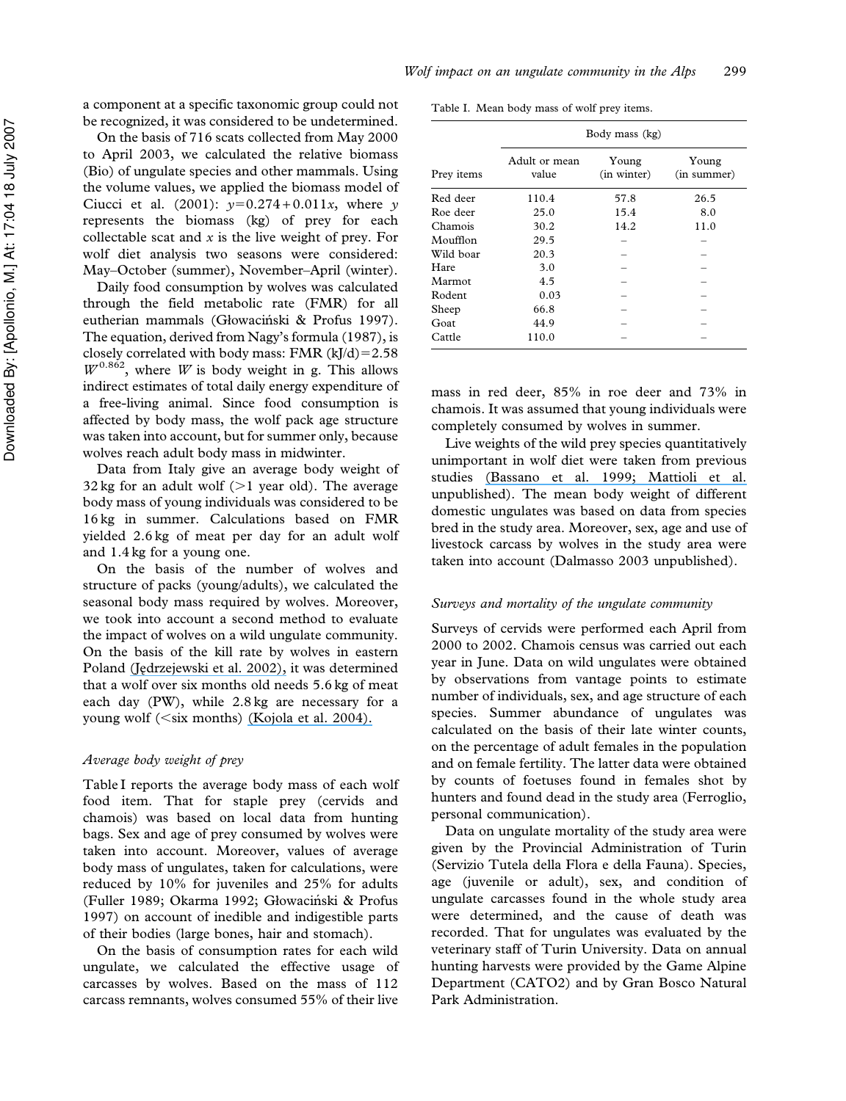a component at a specific taxonomic group could not be recognized, it was considered to be undetermined.

On the basis of 716 scats collected from May 2000 to April 2003, we calculated the relative biomass (Bio) of ungulate species and other mammals. Using the volume values, we applied the biomass model of Ciucci et al. (2001):  $y=0.274 + 0.011x$ , where y represents the biomass (kg) of prey for each collectable scat and  $x$  is the live weight of prey. For wolf diet analysis two seasons were considered: May–October (summer), November–April (winter).

Daily food consumption by wolves was calculated through the field metabolic rate (FMR) for all eutherian mammals (Głowaciński & Profus 1997). The equation, derived from Nagy's formula (1987), is closely correlated with body mass: FMR  $(kJ/d)=2.58$  $W^{0.862}$ , where W is body weight in g. This allows indirect estimates of total daily energy expenditure of a free-living animal. Since food consumption is affected by body mass, the wolf pack age structure was taken into account, but for summer only, because wolves reach adult body mass in midwinter.

Data from Italy give an average body weight of 32 kg for an adult wolf  $(>1$  year old). The average body mass of young individuals was considered to be 16 kg in summer. Calculations based on FMR yielded 2.6 kg of meat per day for an adult wolf and 1.4 kg for a young one.

On the basis of the number of wolves and structure of packs (young/adults), we calculated the seasonal body mass required by wolves. Moreover, we took into account a second method to evaluate the impact of wolves on a wild ungulate community. On the basis of the kill rate by wolves in eastern Poland (Jędrzejewski et al. 2002), it was determined that a wolf over six months old needs 5.6 kg of meat each day (PW), while 2.8 kg are necessary for a young wolf ( $\leq$ six months) [\(Kojola et al. 2004\).](https://www.researchgate.net/publication/229772059_Predation_on_European_wild_forest_reindeer_Rangifer_tarandus_fennicus_by_wolves_Canis_lupus_in_Finland_J_Zool?el=1_x_8&enrichId=rgreq-b24d4744-4b2d-44ff-a4ac-1617c28c05db&enrichSource=Y292ZXJQYWdlOzIzMjk4MjQ0NztBUzoxNjI2MzgwMDQ3NjA1NzZAMTQxNTc4NzMzMDA0NQ==)

### Average body weight of prey

Table I reports the average body mass of each wolf food item. That for staple prey (cervids and chamois) was based on local data from hunting bags. Sex and age of prey consumed by wolves were taken into account. Moreover, values of average body mass of ungulates, taken for calculations, were reduced by 10% for juveniles and 25% for adults (Fuller 1989; Okarma 1992; Głowaciński & Profus 1997) on account of inedible and indigestible parts of their bodies (large bones, hair and stomach).

On the basis of consumption rates for each wild ungulate, we calculated the effective usage of carcasses by wolves. Based on the mass of 112 carcass remnants, wolves consumed 55% of their live

Table I. Mean body mass of wolf prey items.

|            | Body mass (kg)         |                      |                      |  |  |  |  |
|------------|------------------------|----------------------|----------------------|--|--|--|--|
| Prey items | Adult or mean<br>value | Young<br>(in winter) | Young<br>(in summer) |  |  |  |  |
| Red deer   | 110.4                  | 57.8                 | 26.5                 |  |  |  |  |
| Roe deer   | 25.0                   | 15.4                 | 8.0                  |  |  |  |  |
| Chamois    | 30.2                   | 14.2                 | 11.0                 |  |  |  |  |
| Moufflon   | 29.5                   |                      |                      |  |  |  |  |
| Wild boar  | 20.3                   |                      |                      |  |  |  |  |
| Hare       | 3.0                    |                      |                      |  |  |  |  |
| Marmot     | 4.5                    |                      |                      |  |  |  |  |
| Rodent     | 0.03                   |                      |                      |  |  |  |  |
| Sheep      | 66.8                   |                      |                      |  |  |  |  |
| Goat       | 44.9                   |                      |                      |  |  |  |  |
| Cattle     | 110.0                  |                      |                      |  |  |  |  |

mass in red deer, 85% in roe deer and 73% in chamois. It was assumed that young individuals were completely consumed by wolves in summer.

Live weights of the wild prey species quantitatively unimportant in wolf diet were taken from previous studies [\(Bassano et al. 1999; Mattioli et al.](https://www.researchgate.net/publication/258509384_I_selvatici_delle_Alpi_piemontesi_Biologia_e_Gestione?el=1_x_8&enrichId=rgreq-b24d4744-4b2d-44ff-a4ac-1617c28c05db&enrichSource=Y292ZXJQYWdlOzIzMjk4MjQ0NztBUzoxNjI2MzgwMDQ3NjA1NzZAMTQxNTc4NzMzMDA0NQ==) unpublished). The mean body weight of different domestic ungulates was based on data from species bred in the study area. Moreover, sex, age and use of livestock carcass by wolves in the study area were taken into account (Dalmasso 2003 unpublished).

### Surveys and mortality of the ungulate community

Surveys of cervids were performed each April from 2000 to 2002. Chamois census was carried out each year in June. Data on wild ungulates were obtained by observations from vantage points to estimate number of individuals, sex, and age structure of each species. Summer abundance of ungulates was calculated on the basis of their late winter counts, on the percentage of adult females in the population and on female fertility. The latter data were obtained by counts of foetuses found in females shot by hunters and found dead in the study area (Ferroglio, personal communication).

Data on ungulate mortality of the study area were given by the Provincial Administration of Turin (Servizio Tutela della Flora e della Fauna). Species, age (juvenile or adult), sex, and condition of ungulate carcasses found in the whole study area were determined, and the cause of death was recorded. That for ungulates was evaluated by the veterinary staff of Turin University. Data on annual hunting harvests were provided by the Game Alpine Department (CATO2) and by Gran Bosco Natural Park Administration.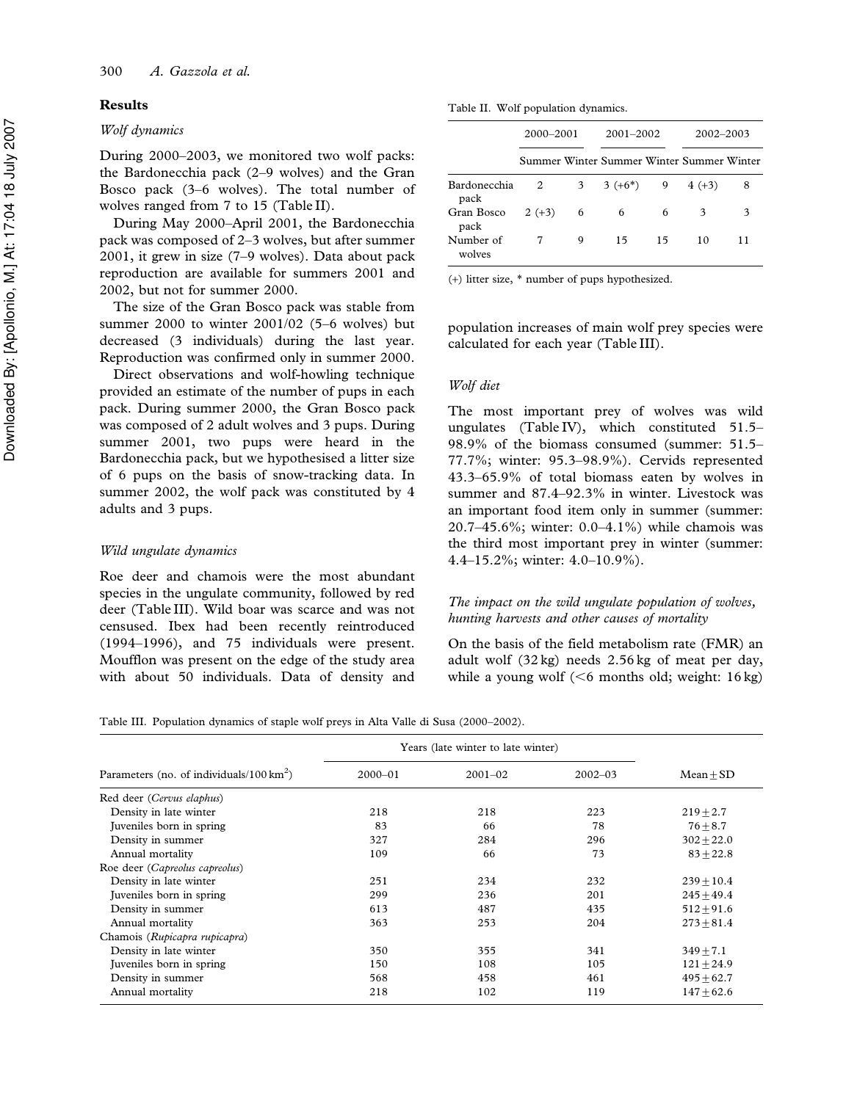### Results

### Wolf dynamics

During 2000–2003, we monitored two wolf packs: the Bardonecchia pack (2–9 wolves) and the Gran Bosco pack (3–6 wolves). The total number of wolves ranged from 7 to 15 (Table II).

During May 2000–April 2001, the Bardonecchia pack was composed of 2–3 wolves, but after summer 2001, it grew in size (7–9 wolves). Data about pack reproduction are available for summers 2001 and 2002, but not for summer 2000.

The size of the Gran Bosco pack was stable from summer 2000 to winter 2001/02 (5–6 wolves) but decreased (3 individuals) during the last year. Reproduction was confirmed only in summer 2000.

Direct observations and wolf-howling technique provided an estimate of the number of pups in each pack. During summer 2000, the Gran Bosco pack was composed of 2 adult wolves and 3 pups. During summer 2001, two pups were heard in the Bardonecchia pack, but we hypothesised a litter size of 6 pups on the basis of snow-tracking data. In summer 2002, the wolf pack was constituted by 4 adults and 3 pups.

### Wild ungulate dynamics

Roe deer and chamois were the most abundant species in the ungulate community, followed by red deer (Table III). Wild boar was scarce and was not censused. Ibex had been recently reintroduced (1994–1996), and 75 individuals were present. Moufflon was present on the edge of the study area with about 50 individuals. Data of density and

Table II. Wolf population dynamics.

|                      | 2000–2001 |                 | $2001 - 2002$                             |    | 2002-2003        |    |  |
|----------------------|-----------|-----------------|-------------------------------------------|----|------------------|----|--|
|                      |           |                 | Summer Winter Summer Winter Summer Winter |    |                  |    |  |
| Bardonecchia<br>pack | 2         | 3 <sup>7</sup>  | $3 (+6^*)$                                |    | $9 \t 4 \t (+3)$ | 8  |  |
| Gran Bosco<br>pack   | $2 (+3)$  | $6\overline{6}$ | 6                                         | 6  | 3                | 3  |  |
| Number of<br>wolves  |           | 9               | 15                                        | 15 | 10               | 11 |  |

(+) litter size, \* number of pups hypothesized.

population increases of main wolf prey species were calculated for each year (Table III).

### Wolf diet

The most important prey of wolves was wild ungulates (Table IV), which constituted 51.5– 98.9% of the biomass consumed (summer: 51.5– 77.7%; winter: 95.3–98.9%). Cervids represented 43.3–65.9% of total biomass eaten by wolves in summer and 87.4–92.3% in winter. Livestock was an important food item only in summer (summer: 20.7–45.6%; winter: 0.0–4.1%) while chamois was the third most important prey in winter (summer: 4.4–15.2%; winter: 4.0–10.9%).

### The impact on the wild ungulate population of wolves, hunting harvests and other causes of mortality

On the basis of the field metabolism rate (FMR) an adult wolf (32 kg) needs 2.56 kg of meat per day, while a young wolf ( $<$ 6 months old; weight: 16 kg)

Table III. Population dynamics of staple wolf preys in Alta Valle di Susa (2000–2002).

|                                                    | Years (late winter to late winter) |             |             |               |  |
|----------------------------------------------------|------------------------------------|-------------|-------------|---------------|--|
| Parameters (no. of individuals/100 $\text{km}^2$ ) | $2000 - 01$                        | $2001 - 02$ | $2002 - 03$ | $Mean + SD$   |  |
| Red deer (Cervus elaphus)                          |                                    |             |             |               |  |
| Density in late winter                             | 218                                | 218         | 223         | $219 \pm 2.7$ |  |
| Juveniles born in spring                           | 83                                 | 66          | 78          | $76 + 8.7$    |  |
| Density in summer                                  | 327                                | 284         | 296         | $302 + 22.0$  |  |
| Annual mortality                                   | 109                                | 66          | 73          | $83 + 22.8$   |  |
| Roe deer (Capreolus capreolus)                     |                                    |             |             |               |  |
| Density in late winter                             | 251                                | 234         | 232         | $239 + 10.4$  |  |
| Juveniles born in spring                           | 299                                | 236         | 201         | $245 + 49.4$  |  |
| Density in summer                                  | 613                                | 487         | 435         | $512 + 91.6$  |  |
| Annual mortality                                   | 363                                | 253         | 204         | $273 + 81.4$  |  |
| Chamois (Rupicapra rupicapra)                      |                                    |             |             |               |  |
| Density in late winter                             | 350                                | 355         | 341         | $349 + 7.1$   |  |
| Juveniles born in spring                           | 150                                | 108         | 105         | $121 + 24.9$  |  |
| Density in summer                                  | 568                                | 458         | 461         | $495 + 62.7$  |  |
| Annual mortality                                   | 218                                | 102         | 119         | $147 + 62.6$  |  |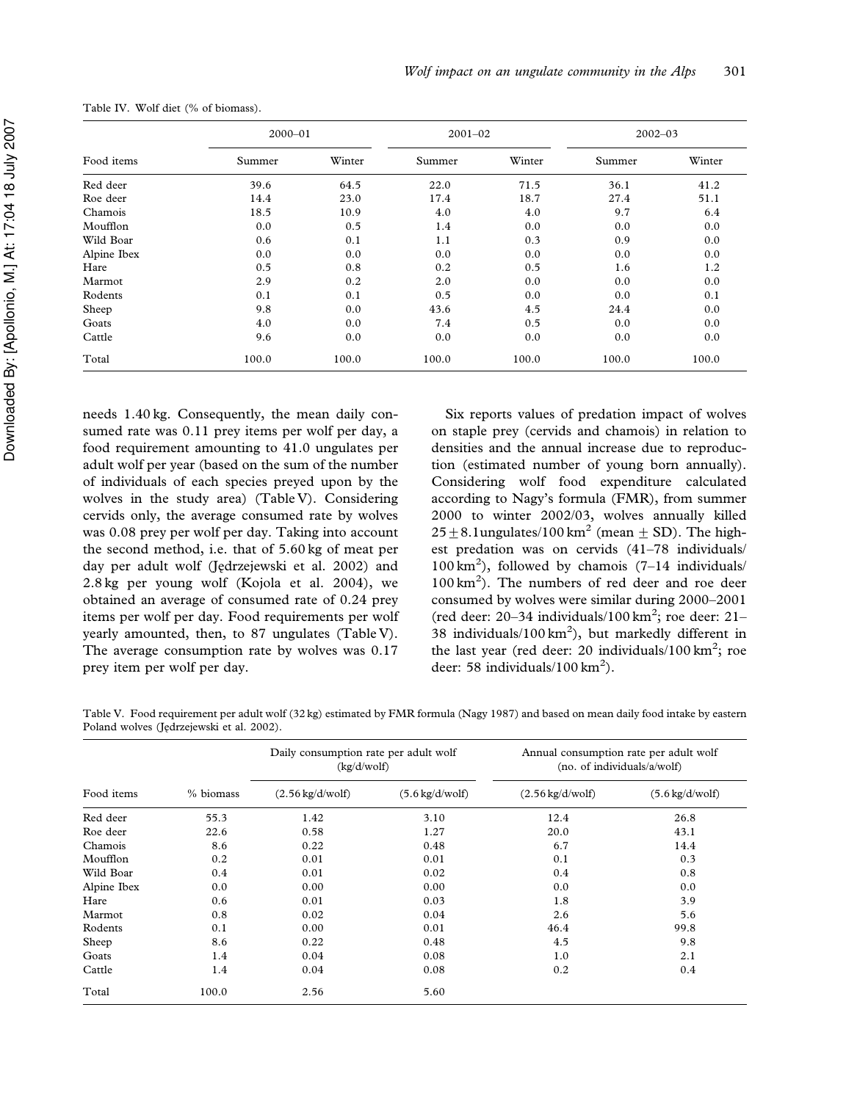|             | $2000 - 01$ |        | $2001 - 02$ |        | $2002 - 03$ |        |
|-------------|-------------|--------|-------------|--------|-------------|--------|
| Food items  | Summer      | Winter | Summer      | Winter | Summer      | Winter |
| Red deer    | 39.6        | 64.5   | 22.0        | 71.5   | 36.1        | 41.2   |
| Roe deer    | 14.4        | 23.0   | 17.4        | 18.7   | 27.4        | 51.1   |
| Chamois     | 18.5        | 10.9   | 4.0         | 4.0    | 9.7         | 6.4    |
| Moufflon    | 0.0         | 0.5    | 1.4         | 0.0    | 0.0         | 0.0    |
| Wild Boar   | 0.6         | 0.1    | 1.1         | 0.3    | 0.9         | 0.0    |
| Alpine Ibex | 0.0         | 0.0    | 0.0         | 0.0    | 0.0         | 0.0    |
| Hare        | 0.5         | 0.8    | 0.2         | 0.5    | 1.6         | 1.2    |
| Marmot      | 2.9         | 0.2    | 2.0         | 0.0    | 0.0         | 0.0    |
| Rodents     | 0.1         | 0.1    | 0.5         | 0.0    | 0.0         | 0.1    |
| Sheep       | 9.8         | 0.0    | 43.6        | 4.5    | 24.4        | 0.0    |
| Goats       | 4.0         | 0.0    | 7.4         | 0.5    | 0.0         | 0.0    |
| Cattle      | 9.6         | 0.0    | 0.0         | 0.0    | 0.0         | 0.0    |
| Total       | 100.0       | 100.0  | 100.0       | 100.0  | 100.0       | 100.0  |

Table IV. Wolf diet (% of biomass).

needs 1.40 kg. Consequently, the mean daily consumed rate was 0.11 prey items per wolf per day, a food requirement amounting to 41.0 ungulates per adult wolf per year (based on the sum of the number of individuals of each species preyed upon by the wolves in the study area) (Table V). Considering cervids only, the average consumed rate by wolves was 0.08 prey per wolf per day. Taking into account the second method, i.e. that of 5.60 kg of meat per day per adult wolf (Jędrzejewski et al. 2002) and 2.8 kg per young wolf (Kojola et al. 2004), we obtained an average of consumed rate of 0.24 prey items per wolf per day. Food requirements per wolf yearly amounted, then, to 87 ungulates (Table V). The average consumption rate by wolves was 0.17 prey item per wolf per day.

Six reports values of predation impact of wolves on staple prey (cervids and chamois) in relation to densities and the annual increase due to reproduction (estimated number of young born annually). Considering wolf food expenditure calculated according to Nagy's formula (FMR), from summer 2000 to winter 2002/03, wolves annually killed  $25 \pm 8.1$ ungulates/100 km<sup>2</sup> (mean  $\pm$  SD). The highest predation was on cervids (41–78 individuals/  $100 \text{ km}^2$ ), followed by chamois (7-14 individuals/ 100 km<sup>2</sup> ). The numbers of red deer and roe deer consumed by wolves were similar during 2000–2001 (red deer: 20-34 individuals/100 km<sup>2</sup>; roe deer: 21-38 individuals/100  $km^2$ ), but markedly different in the last year (red deer: 20 individuals/100  $\text{km}^2$ ; roe deer: 58 individuals/100  $\text{km}^2$ ).

Table V. Food requirement per adult wolf (32 kg) estimated by FMR formula (Nagy 1987) and based on mean daily food intake by eastern Poland wolves (Jedrzejewski et al. 2002).

|             |           | Daily consumption rate per adult wolf<br>(kg/d/wolf) |                                  | Annual consumption rate per adult wolf<br>(no. of individuals/a/wolf) |                                  |  |
|-------------|-----------|------------------------------------------------------|----------------------------------|-----------------------------------------------------------------------|----------------------------------|--|
| Food items  | % biomass | $(2.56 \text{ kg}/\text{d/wolf})$                    | $(5.6 \text{ kg}/\text{d/wolf})$ | $(2.56 \text{ kg}/\text{d/wolf})$                                     | $(5.6 \text{ kg}/\text{d/wolf})$ |  |
| Red deer    | 55.3      | 1.42                                                 | 3.10                             | 12.4                                                                  | 26.8                             |  |
| Roe deer    | 22.6      | 0.58                                                 | 1.27                             | 20.0                                                                  | 43.1                             |  |
| Chamois     | 8.6       | 0.22                                                 | 0.48                             | 6.7                                                                   | 14.4                             |  |
| Moufflon    | 0.2       | 0.01                                                 | 0.01                             | 0.1                                                                   | 0.3                              |  |
| Wild Boar   | 0.4       | 0.01                                                 | 0.02                             | 0.4                                                                   | 0.8                              |  |
| Alpine Ibex | 0.0       | 0.00                                                 | 0.00                             | 0.0                                                                   | 0.0                              |  |
| Hare        | 0.6       | 0.01                                                 | 0.03                             | 1.8                                                                   | 3.9                              |  |
| Marmot      | 0.8       | 0.02                                                 | 0.04                             | 2.6                                                                   | 5.6                              |  |
| Rodents     | 0.1       | 0.00                                                 | 0.01                             | 46.4                                                                  | 99.8                             |  |
| Sheep       | 8.6       | 0.22                                                 | 0.48                             | 4.5                                                                   | 9.8                              |  |
| Goats       | 1.4       | 0.04                                                 | 0.08                             | 1.0                                                                   | 2.1                              |  |
| Cattle      | 1.4       | 0.04                                                 | 0.08                             | 0.2                                                                   | 0.4                              |  |
| Total       | 100.0     | 2.56<br>5.60                                         |                                  |                                                                       |                                  |  |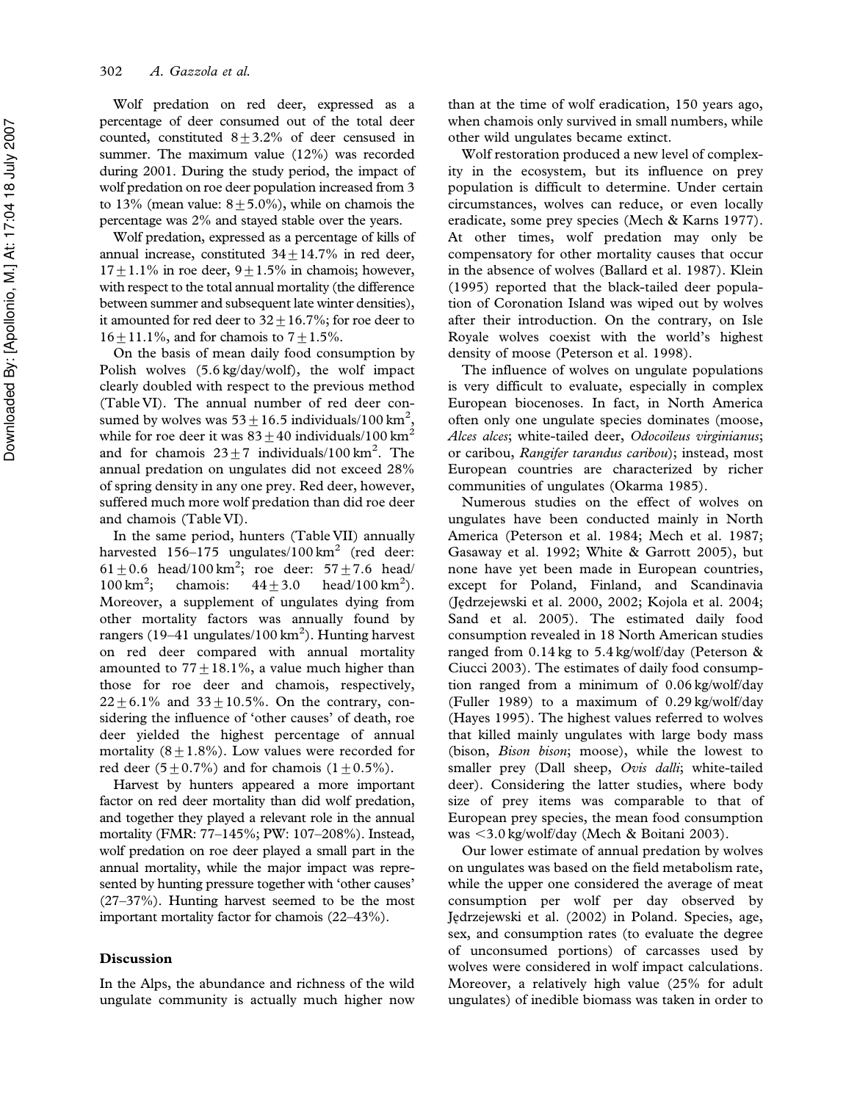Wolf predation on red deer, expressed as a percentage of deer consumed out of the total deer counted, constituted  $8 + 3.2%$  of deer censused in summer. The maximum value (12%) was recorded during 2001. During the study period, the impact of wolf predation on roe deer population increased from 3 to 13% (mean value:  $8+5.0$ %), while on chamois the percentage was 2% and stayed stable over the years.

Wolf predation, expressed as a percentage of kills of annual increase, constituted  $34 \pm 14.7\%$  in red deer,  $17+1.1\%$  in roe deer,  $9+1.5\%$  in chamois; however, with respect to the total annual mortality (the difference between summer and subsequent late winter densities), it amounted for red deer to  $32 \pm 16.7$ %; for roe deer to  $16 \pm 11.1\%$ , and for chamois to  $7 \pm 1.5\%$ .

On the basis of mean daily food consumption by Polish wolves (5.6 kg/day/wolf), the wolf impact clearly doubled with respect to the previous method (Table VI). The annual number of red deer consumed by wolves was  $53\pm16.5$  individuals/100 km<sup>2</sup>, while for roe deer it was  $83 \pm 40$  individuals/100 km<sup>2</sup> and for chamois  $23 \pm 7$  individuals/100 km<sup>2</sup>. The annual predation on ungulates did not exceed 28% of spring density in any one prey. Red deer, however, suffered much more wolf predation than did roe deer and chamois (Table VI).

In the same period, hunters (Table VII) annually harvested 156–175 ungulates/100 km<sup>2</sup> (red deer: 61  $\pm$  0.6 head/100 km<sup>2</sup>; roe deer: 57  $\pm$  7.6 head/  $100 \text{ km}^2$ ; ; chamois:  $44 \pm 3.0$  head/100 km<sup>2</sup>). Moreover, a supplement of ungulates dying from other mortality factors was annually found by rangers (19–41 ungulates/100 km $^2$ ). Hunting harvest on red deer compared with annual mortality amounted to  $77 \pm 18.1\%$ , a value much higher than those for roe deer and chamois, respectively,  $22 \pm 6.1\%$  and  $33 \pm 10.5\%$ . On the contrary, considering the influence of 'other causes' of death, roe deer yielded the highest percentage of annual mortality  $(8+1.8\%)$ . Low values were recorded for red deer  $(5\pm0.7\%)$  and for chamois  $(1\pm0.5\%).$ 

Harvest by hunters appeared a more important factor on red deer mortality than did wolf predation, and together they played a relevant role in the annual mortality (FMR: 77–145%; PW: 107–208%). Instead, wolf predation on roe deer played a small part in the annual mortality, while the major impact was represented by hunting pressure together with 'other causes' (27–37%). Hunting harvest seemed to be the most important mortality factor for chamois (22–43%).

### Discussion

In the Alps, the abundance and richness of the wild ungulate community is actually much higher now than at the time of wolf eradication, 150 years ago, when chamois only survived in small numbers, while other wild ungulates became extinct.

Wolf restoration produced a new level of complexity in the ecosystem, but its influence on prey population is difficult to determine. Under certain circumstances, wolves can reduce, or even locally eradicate, some prey species (Mech & Karns 1977). At other times, wolf predation may only be compensatory for other mortality causes that occur in the absence of wolves (Ballard et al. 1987). Klein (1995) reported that the black-tailed deer population of Coronation Island was wiped out by wolves after their introduction. On the contrary, on Isle Royale wolves coexist with the world's highest density of moose (Peterson et al. 1998).

The influence of wolves on ungulate populations is very difficult to evaluate, especially in complex European biocenoses. In fact, in North America often only one ungulate species dominates (moose, Alces alces; white-tailed deer, Odocoileus virginianus; or caribou, Rangifer tarandus caribou); instead, most European countries are characterized by richer communities of ungulates (Okarma 1985).

Numerous studies on the effect of wolves on ungulates have been conducted mainly in North America (Peterson et al. 1984; Mech et al. 1987; Gasaway et al. 1992; White & Garrott 2005), but none have yet been made in European countries, except for Poland, Finland, and Scandinavia (Jedrzejewski et al. 2000, 2002; Kojola et al. 2004; Sand et al. 2005). The estimated daily food consumption revealed in 18 North American studies ranged from 0.14 kg to 5.4 kg/wolf/day (Peterson & Ciucci 2003). The estimates of daily food consumption ranged from a minimum of 0.06 kg/wolf/day (Fuller 1989) to a maximum of 0.29 kg/wolf/day (Hayes 1995). The highest values referred to wolves that killed mainly ungulates with large body mass (bison, *Bison bison*; moose), while the lowest to smaller prey (Dall sheep, Ovis dalli; white-tailed deer). Considering the latter studies, where body size of prey items was comparable to that of European prey species, the mean food consumption was <3.0 kg/wolf/day (Mech & Boitani 2003).

Our lower estimate of annual predation by wolves on ungulates was based on the field metabolism rate, while the upper one considered the average of meat consumption per wolf per day observed by Jedrzejewski et al. (2002) in Poland. Species, age, sex, and consumption rates (to evaluate the degree of unconsumed portions) of carcasses used by wolves were considered in wolf impact calculations. Moreover, a relatively high value (25% for adult ungulates) of inedible biomass was taken in order to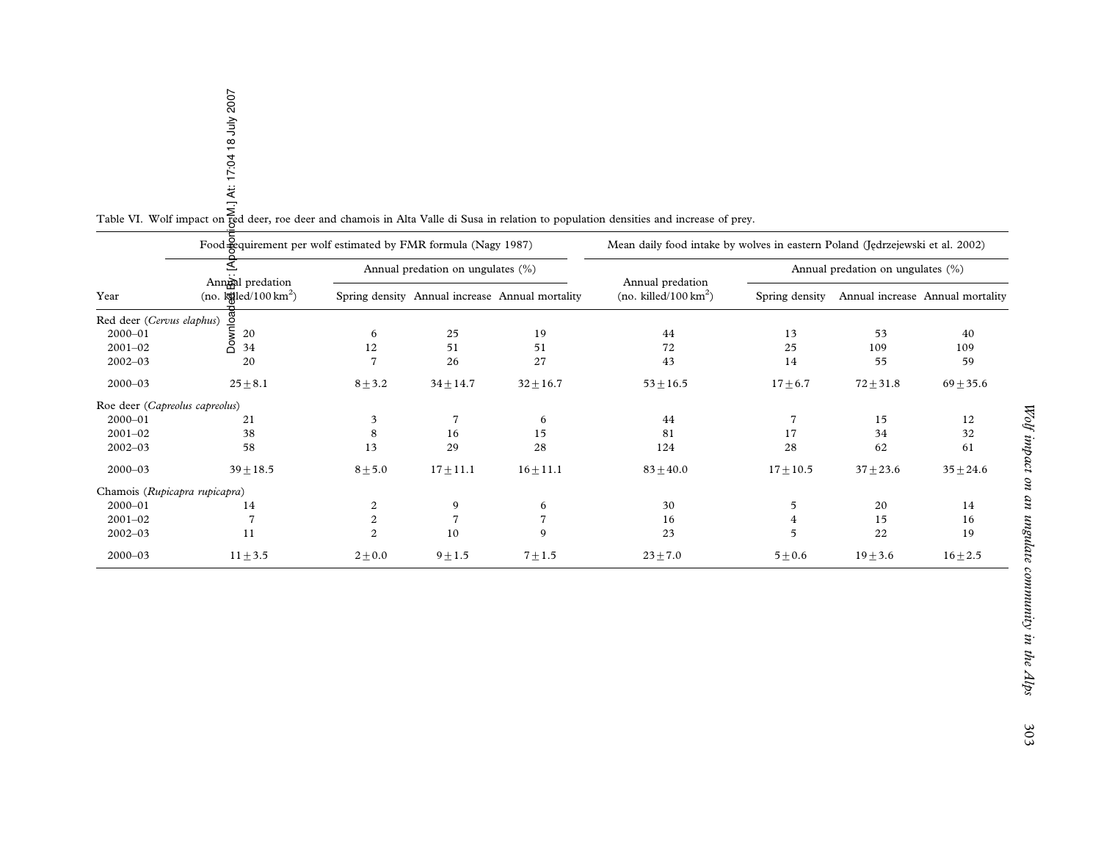|                                | Table VI. Wolf impact on $\frac{2}{3}$<br>$\frac{3}{4}$<br>Table VI. Wolf impact on $\frac{2}{3}$<br>$\frac{4}{3}$<br>$\frac{1}{3}$<br>$\frac{1}{3}$<br>$\frac{1}{3}$<br>$\frac{1}{3}$<br>$\frac{1}{3}$<br>$\frac{1}{3}$<br>$\frac{1}{3}$<br>$\frac{1}{3}$<br>$\frac{1}{3}$<br>$\frac{1}{3}$<br>$\frac{1}{3}$<br>$\frac{1}{$ |                  |                                   |                                                 |                                                                               |                |                                   |                                  |
|--------------------------------|------------------------------------------------------------------------------------------------------------------------------------------------------------------------------------------------------------------------------------------------------------------------------------------------------------------------------|------------------|-----------------------------------|-------------------------------------------------|-------------------------------------------------------------------------------|----------------|-----------------------------------|----------------------------------|
|                                | Food gequirement per wolf estimated by FMR formula (Nagy 1987)                                                                                                                                                                                                                                                               |                  |                                   |                                                 | Mean daily food intake by wolves in eastern Poland (Jedrzejewski et al. 2002) |                |                                   |                                  |
|                                | Annanal predation                                                                                                                                                                                                                                                                                                            |                  | Annual predation on ungulates (%) |                                                 |                                                                               |                | Annual predation on ungulates (%) |                                  |
| Year                           | (no. $\frac{1}{R}$ led/100 km <sup>2</sup> )                                                                                                                                                                                                                                                                                 |                  |                                   | Spring density Annual increase Annual mortality | Annual predation<br>(no. killed/100 $\text{km}^2$ )                           | Spring density |                                   | Annual increase Annual mortality |
| Red deer (Cervus elaphus)      |                                                                                                                                                                                                                                                                                                                              |                  |                                   |                                                 |                                                                               |                |                                   |                                  |
| 2000-01                        | Downloa<br>20                                                                                                                                                                                                                                                                                                                | 6                | 25                                | 19                                              | 44                                                                            | 13             | 53                                | 40                               |
| $2001 - 02$                    | 34                                                                                                                                                                                                                                                                                                                           | 12               | 51                                | 51                                              | 72                                                                            | 25             | 109                               | 109                              |
| $2002 - 03$                    | 20                                                                                                                                                                                                                                                                                                                           | $\overline{7}$   | 26                                | 27                                              | 43                                                                            | 14             | 55                                | 59                               |
| 2000-03                        | $25 \pm 8.1$                                                                                                                                                                                                                                                                                                                 | $8 + 3.2$        | $34 \pm 14.7$                     | $32 \pm 16.7$                                   | $53 + 16.5$                                                                   | $17 + 6.7$     | $72 + 31.8$                       | $69 + 35.6$                      |
| Roe deer (Capreolus capreolus) |                                                                                                                                                                                                                                                                                                                              |                  |                                   |                                                 |                                                                               |                |                                   |                                  |
| $2000 - 01$                    | 21                                                                                                                                                                                                                                                                                                                           | 3                | 7                                 | 6                                               | 44                                                                            | 7              | 15                                | 12                               |
| $2001 - 02$                    | 38                                                                                                                                                                                                                                                                                                                           | 8                | 16                                | 15                                              | 81                                                                            | 17             | 34                                | 32                               |
| $2002 - 03$                    | 58                                                                                                                                                                                                                                                                                                                           | 13               | 29                                | 28                                              | 124                                                                           | 28             | 62                                | 61                               |
| 2000-03                        | $39 + 18.5$                                                                                                                                                                                                                                                                                                                  | $8 + 5.0$        | $17 + 11.1$                       | $16 + 11.1$                                     | $83 + 40.0$                                                                   | $17 + 10.5$    | $37 + 23.6$                       | $35 \pm 24.6$                    |
| Chamois (Rupicapra rupicapra)  |                                                                                                                                                                                                                                                                                                                              |                  |                                   |                                                 |                                                                               |                |                                   |                                  |
| 2000-01                        | 14                                                                                                                                                                                                                                                                                                                           | $\overline{c}$   | 9                                 | 6                                               | 30                                                                            | 5              | 20                                | 14                               |
| $2001 - 02$                    | $\overline{7}$                                                                                                                                                                                                                                                                                                               | $\boldsymbol{2}$ | $\overline{7}$                    | $\overline{7}$                                  | 16                                                                            | 4              | 15                                | 16                               |
| $2002 - 03$                    | 11                                                                                                                                                                                                                                                                                                                           | $\overline{2}$   | 10                                | $\mathbf{Q}$                                    | 23                                                                            | 5              | 22                                | 19                               |
| $2000 - 03$                    | $11 \pm 3.5$                                                                                                                                                                                                                                                                                                                 | $2 + 0.0$        | $9 + 1.5$                         | $7 + 1.5$                                       | $23 + 7.0$                                                                    | $5 + 0.6$      | $19 + 3.6$                        | $16 + 2.5$                       |

# Table VI. Wolf impact on  $\frac{5}{5}$ <br>Table VI. Wolf impact on  $\frac{5}{5}$ <br> $\frac{4}{5}$ <br> $\frac{1}{5}$ <br> $\frac{1}{5}$ <br> $\frac{1}{5}$ <br> $\frac{1}{5}$ <br> $\frac{1}{5}$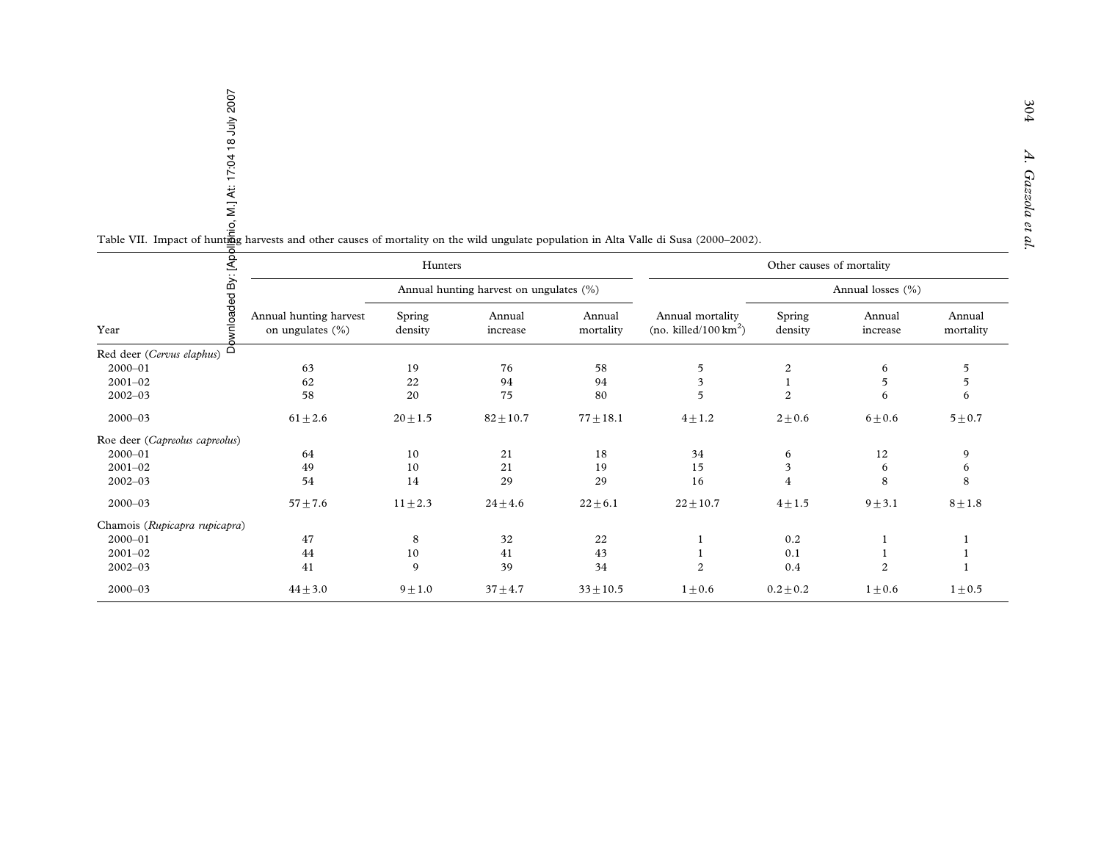| o, M.] At: 17:04 18 July 2007<br>Table VII. Impact of huntigg harvests and other causes of mortality on the wild ungulate population in Alta Valle di Susa (2000-2002). |                                            |                                         |                    |                     |                                                     |                           |                    |                     |
|-------------------------------------------------------------------------------------------------------------------------------------------------------------------------|--------------------------------------------|-----------------------------------------|--------------------|---------------------|-----------------------------------------------------|---------------------------|--------------------|---------------------|
|                                                                                                                                                                         |                                            | Hunters                                 |                    |                     |                                                     | Other causes of mortality |                    |                     |
|                                                                                                                                                                         |                                            | Annual hunting harvest on ungulates (%) |                    |                     |                                                     | Annual losses (%)         |                    |                     |
| wnloaded By: [Apc<br>Year                                                                                                                                               | Annual hunting harvest<br>on ungulates (%) | Spring<br>density                       | Annual<br>increase | Annual<br>mortality | Annual mortality<br>(no. killed/100 $\text{km}^2$ ) | Spring<br>density         | Annual<br>increase | Annual<br>mortality |
| ಕೆ<br>Red deer (Cervus elaphus)                                                                                                                                         |                                            |                                         |                    |                     |                                                     |                           |                    |                     |
| $2000 - 01$                                                                                                                                                             | 63                                         | 19                                      | 76                 | 58                  | $\sqrt{5}$                                          | $\boldsymbol{2}$          | 6                  | 5                   |
| $2001 - 02$                                                                                                                                                             | 62                                         | 22                                      | 94                 | 94                  | $\overline{\mathbf{3}}$                             | $\mathbf{1}$              | 5                  | 5                   |
| $2002 - 03$                                                                                                                                                             | 58                                         | $20\,$                                  | 75                 | 80                  | 5                                                   | 2                         | 6                  | 6                   |
| $2000 - 03$                                                                                                                                                             | $61 \pm 2.6$                               | $20 \pm 1.5$                            | $82 + 10.7$        | $77 \pm 18.1$       | $4 + 1.2$                                           | $2 + 0.6$                 | $6 \pm 0.6$        | $5\pm0.7$           |
| Roe deer (Capreolus capreolus)                                                                                                                                          |                                            |                                         |                    |                     |                                                     |                           |                    |                     |
| 2000-01                                                                                                                                                                 | 64                                         | 10                                      | 21                 | 18                  | 34                                                  | 6                         | 12                 | 9                   |
| $2001 - 02$                                                                                                                                                             | 49                                         | $10\,$                                  | 21                 | 19                  | 15                                                  | 3                         | 6                  | 6                   |
| $2002 - 03$                                                                                                                                                             | 54                                         | 14                                      | 29                 | 29                  | 16                                                  | $\overline{4}$            | 8                  | 8                   |
| $2000 - 03$                                                                                                                                                             | $57 + 7.6$                                 | $11 \pm 2.3$                            | $24\pm4.6$         | $22 \pm 6.1$        | $22 \pm 10.7$                                       | $4\pm1.5$                 | $9 + 3.1$          | $8 \pm 1.8$         |
| Chamois (Rupicapra rupicapra)                                                                                                                                           |                                            |                                         |                    |                     |                                                     |                           |                    |                     |
| $2000 - 01$                                                                                                                                                             | 47                                         | $\,8\,$                                 | 32                 | 22                  | 1                                                   | 0.2                       | 1                  | 1                   |
| $2001 - 02$                                                                                                                                                             | 44                                         | $10\,$                                  | 41                 | 43                  | 1                                                   | 0.1                       | 1                  | 1                   |
| $2002 - 03$                                                                                                                                                             | 41                                         | 9                                       | 39                 | 34                  | 2                                                   | 0.4                       | 2                  | 1                   |
| $2000 - 03$                                                                                                                                                             | $44 + 3.0$                                 | $9 + 1.0$                               | $37 + 4.7$         | $33 \pm 10.5$       | $1 \pm 0.6$                                         | $0.2 \pm 0.2$             | $1 \pm 0.6$        | $1 \pm 0.5$         |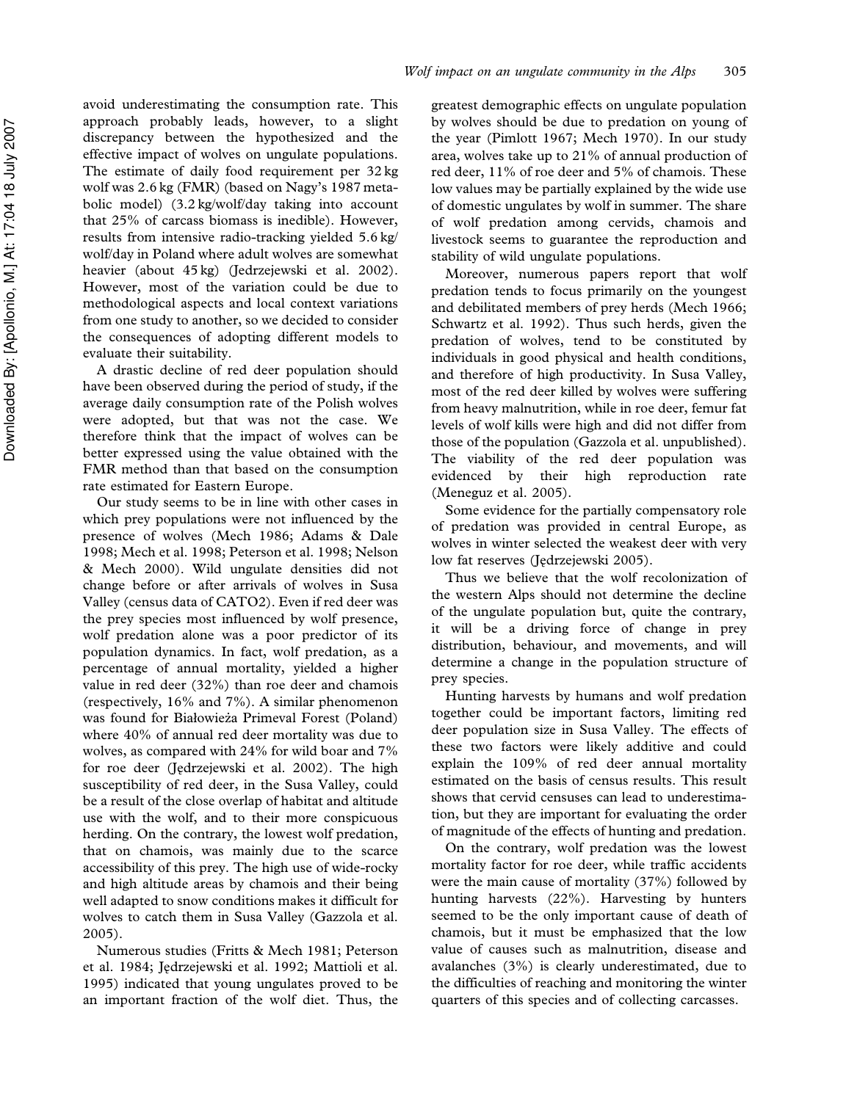avoid underestimating the consumption rate. This approach probably leads, however, to a slight discrepancy between the hypothesized and the effective impact of wolves on ungulate populations. The estimate of daily food requirement per 32 kg wolf was 2.6 kg (FMR) (based on Nagy's 1987 metabolic model) (3.2 kg/wolf/day taking into account that 25% of carcass biomass is inedible). However, results from intensive radio-tracking yielded 5.6 kg/ wolf/day in Poland where adult wolves are somewhat heavier (about 45 kg) (Jedrzejewski et al. 2002). However, most of the variation could be due to methodological aspects and local context variations from one study to another, so we decided to consider the consequences of adopting different models to evaluate their suitability.

A drastic decline of red deer population should have been observed during the period of study, if the average daily consumption rate of the Polish wolves were adopted, but that was not the case. We therefore think that the impact of wolves can be better expressed using the value obtained with the FMR method than that based on the consumption rate estimated for Eastern Europe.

Our study seems to be in line with other cases in which prey populations were not influenced by the presence of wolves (Mech 1986; Adams & Dale 1998; Mech et al. 1998; Peterson et al. 1998; Nelson & Mech 2000). Wild ungulate densities did not change before or after arrivals of wolves in Susa Valley (census data of CATO2). Even if red deer was the prey species most influenced by wolf presence, wolf predation alone was a poor predictor of its population dynamics. In fact, wolf predation, as a percentage of annual mortality, yielded a higher value in red deer (32%) than roe deer and chamois (respectively, 16% and 7%). A similar phenomenon was found for Białowieża Primeval Forest (Poland) where 40% of annual red deer mortality was due to wolves, as compared with 24% for wild boar and 7% for roe deer (Jędrzejewski et al. 2002). The high susceptibility of red deer, in the Susa Valley, could be a result of the close overlap of habitat and altitude use with the wolf, and to their more conspicuous herding. On the contrary, the lowest wolf predation, that on chamois, was mainly due to the scarce accessibility of this prey. The high use of wide-rocky and high altitude areas by chamois and their being well adapted to snow conditions makes it difficult for wolves to catch them in Susa Valley (Gazzola et al. 2005).

Numerous studies (Fritts & Mech 1981; Peterson et al. 1984; Jędrzejewski et al. 1992; Mattioli et al. 1995) indicated that young ungulates proved to be an important fraction of the wolf diet. Thus, the

greatest demographic effects on ungulate population by wolves should be due to predation on young of the year (Pimlott 1967; Mech 1970). In our study area, wolves take up to 21% of annual production of red deer, 11% of roe deer and 5% of chamois. These low values may be partially explained by the wide use of domestic ungulates by wolf in summer. The share of wolf predation among cervids, chamois and livestock seems to guarantee the reproduction and stability of wild ungulate populations.

Moreover, numerous papers report that wolf predation tends to focus primarily on the youngest and debilitated members of prey herds (Mech 1966; Schwartz et al. 1992). Thus such herds, given the predation of wolves, tend to be constituted by individuals in good physical and health conditions, and therefore of high productivity. In Susa Valley, most of the red deer killed by wolves were suffering from heavy malnutrition, while in roe deer, femur fat levels of wolf kills were high and did not differ from those of the population (Gazzola et al. unpublished). The viability of the red deer population was evidenced by their high reproduction rate (Meneguz et al. 2005).

Some evidence for the partially compensatory role of predation was provided in central Europe, as wolves in winter selected the weakest deer with very low fat reserves (Jędrzejewski 2005).

Thus we believe that the wolf recolonization of the western Alps should not determine the decline of the ungulate population but, quite the contrary, it will be a driving force of change in prey distribution, behaviour, and movements, and will determine a change in the population structure of prey species.

Hunting harvests by humans and wolf predation together could be important factors, limiting red deer population size in Susa Valley. The effects of these two factors were likely additive and could explain the 109% of red deer annual mortality estimated on the basis of census results. This result shows that cervid censuses can lead to underestimation, but they are important for evaluating the order of magnitude of the effects of hunting and predation.

On the contrary, wolf predation was the lowest mortality factor for roe deer, while traffic accidents were the main cause of mortality (37%) followed by hunting harvests (22%). Harvesting by hunters seemed to be the only important cause of death of chamois, but it must be emphasized that the low value of causes such as malnutrition, disease and avalanches (3%) is clearly underestimated, due to the difficulties of reaching and monitoring the winter quarters of this species and of collecting carcasses.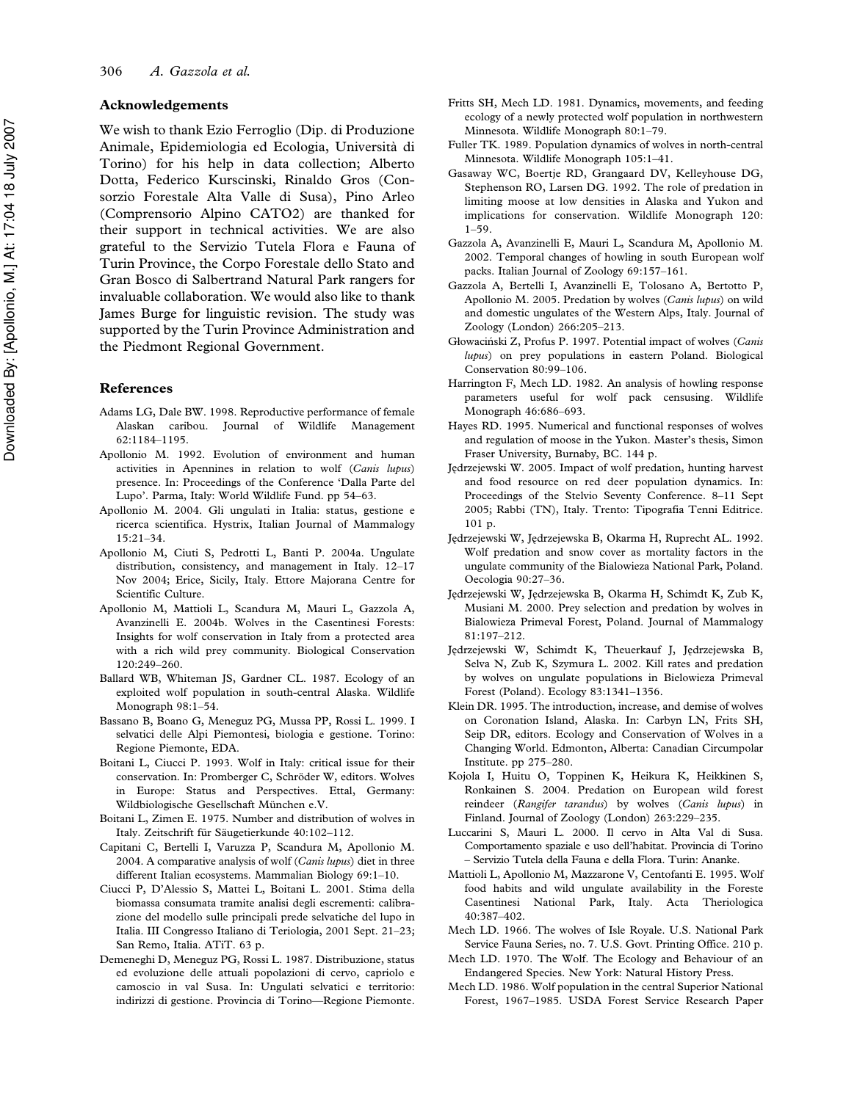### Acknowledgements

We wish to thank Ezio Ferroglio (Dip. di Produzione Animale, Epidemiologia ed Ecologia, Universita` di Torino) for his help in data collection; Alberto Dotta, Federico Kurscinski, Rinaldo Gros (Consorzio Forestale Alta Valle di Susa), Pino Arleo (Comprensorio Alpino CATO2) are thanked for their support in technical activities. We are also grateful to the Servizio Tutela Flora e Fauna of Turin Province, the Corpo Forestale dello Stato and Gran Bosco di Salbertrand Natural Park rangers for invaluable collaboration. We would also like to thank James Burge for linguistic revision. The study was supported by the Turin Province Administration and the Piedmont Regional Government.

### References

- Adams LG, Dale BW. 1998. Reproductive performance of female Alaskan caribou. Journal of Wildlife Management 62:1184–1195.
- Apollonio M. 1992. Evolution of environment and human activities in Apennines in relation to wolf (Canis lupus) presence. In: Proceedings of the Conference 'Dalla Parte del Lupo'. Parma, Italy: World Wildlife Fund. pp 54–63.
- Apollonio M. 2004. Gli ungulati in Italia: status, gestione e ricerca scientifica. Hystrix, Italian Journal of Mammalogy 15:21–34.
- Apollonio M, Ciuti S, Pedrotti L, Banti P. 2004a. Ungulate distribution, consistency, and management in Italy. 12–17 Nov 2004; Erice, Sicily, Italy. Ettore Majorana Centre for Scientific Culture.
- Apollonio M, Mattioli L, Scandura M, Mauri L, Gazzola A, Avanzinelli E. 2004b. Wolves in the Casentinesi Forests: Insights for wolf conservation in Italy from a protected area with a rich wild prey community. Biological Conservation 120:249–260.
- Ballard WB, Whiteman JS, Gardner CL. 1987. Ecology of an exploited wolf population in south-central Alaska. Wildlife Monograph 98:1–54.
- Bassano B, Boano G, Meneguz PG, Mussa PP, Rossi L. 1999. I selvatici delle Alpi Piemontesi, biologia e gestione. Torino: Regione Piemonte, EDA.
- Boitani L, Ciucci P. 1993. Wolf in Italy: critical issue for their conservation. In: Promberger C, Schröder W, editors. Wolves in Europe: Status and Perspectives. Ettal, Germany: Wildbiologische Gesellschaft München e.V.
- Boitani L, Zimen E. 1975. Number and distribution of wolves in Italy. Zeitschrift für Säugetierkunde 40:102-112.
- Capitani C, Bertelli I, Varuzza P, Scandura M, Apollonio M. 2004. A comparative analysis of wolf (Canis lupus) diet in three different Italian ecosystems. Mammalian Biology 69:1–10.
- Ciucci P, D'Alessio S, Mattei L, Boitani L. 2001. Stima della biomassa consumata tramite analisi degli escrementi: calibrazione del modello sulle principali prede selvatiche del lupo in Italia. III Congresso Italiano di Teriologia, 2001 Sept. 21–23; San Remo, Italia. ATiT. 63 p.
- Demeneghi D, Meneguz PG, Rossi L. 1987. Distribuzione, status ed evoluzione delle attuali popolazioni di cervo, capriolo e camoscio in val Susa. In: Ungulati selvatici e territorio: indirizzi di gestione. Provincia di Torino—Regione Piemonte.
- Fritts SH, Mech LD. 1981. Dynamics, movements, and feeding ecology of a newly protected wolf population in northwestern Minnesota. Wildlife Monograph 80:1–79.
- Fuller TK. 1989. Population dynamics of wolves in north-central Minnesota. Wildlife Monograph 105:1–41.
- Gasaway WC, Boertje RD, Grangaard DV, Kelleyhouse DG, Stephenson RO, Larsen DG. 1992. The role of predation in limiting moose at low densities in Alaska and Yukon and implications for conservation. Wildlife Monograph 120:  $1-59.$
- Gazzola A, Avanzinelli E, Mauri L, Scandura M, Apollonio M. 2002. Temporal changes of howling in south European wolf packs. Italian Journal of Zoology 69:157–161.
- Gazzola A, Bertelli I, Avanzinelli E, Tolosano A, Bertotto P, Apollonio M. 2005. Predation by wolves (Canis lupus) on wild and domestic ungulates of the Western Alps, Italy. Journal of Zoology (London) 266:205–213.
- Głowaciński Z, Profus P. 1997. Potential impact of wolves (Canis lupus) on prey populations in eastern Poland. Biological Conservation 80:99–106.
- Harrington F, Mech LD. 1982. An analysis of howling response parameters useful for wolf pack censusing. Wildlife Monograph 46:686–693.
- Hayes RD. 1995. Numerical and functional responses of wolves and regulation of moose in the Yukon. Master's thesis, Simon Fraser University, Burnaby, BC. 144 p.
- Jędrzejewski W. 2005. Impact of wolf predation, hunting harvest and food resource on red deer population dynamics. In: Proceedings of the Stelvio Seventy Conference. 8–11 Sept 2005; Rabbi (TN), Italy. Trento: Tipografia Tenni Editrice. 101 p.
- Jędrzejewski W, Jędrzejewska B, Okarma H, Ruprecht AL. 1992. Wolf predation and snow cover as mortality factors in the ungulate community of the Bialowieza National Park, Poland. Oecologia 90:27–36.
- Jędrzejewski W, Jędrzejewska B, Okarma H, Schimdt K, Zub K, Musiani M. 2000. Prey selection and predation by wolves in Bialowieza Primeval Forest, Poland. Journal of Mammalogy 81:197–212.
- Jedrzejewski W, Schimdt K, Theuerkauf J, Jedrzejewska B, Selva N, Zub K, Szymura L. 2002. Kill rates and predation by wolves on ungulate populations in Bielowieza Primeval Forest (Poland). Ecology 83:1341–1356.
- Klein DR. 1995. The introduction, increase, and demise of wolves on Coronation Island, Alaska. In: Carbyn LN, Frits SH, Seip DR, editors. Ecology and Conservation of Wolves in a Changing World. Edmonton, Alberta: Canadian Circumpolar Institute. pp 275–280.
- Kojola I, Huitu O, Toppinen K, Heikura K, Heikkinen S, Ronkainen S. 2004. Predation on European wild forest reindeer (Rangifer tarandus) by wolves (Canis lupus) in Finland. Journal of Zoology (London) 263:229–235.
- Luccarini S, Mauri L. 2000. Il cervo in Alta Val di Susa. Comportamento spaziale e uso dell'habitat. Provincia di Torino – Servizio Tutela della Fauna e della Flora. Turin: Ananke.
- Mattioli L, Apollonio M, Mazzarone V, Centofanti E. 1995. Wolf food habits and wild ungulate availability in the Foreste Casentinesi National Park, Italy. Acta Theriologica 40:387–402.
- Mech LD. 1966. The wolves of Isle Royale. U.S. National Park Service Fauna Series, no. 7. U.S. Govt. Printing Office. 210 p.
- Mech LD. 1970. The Wolf. The Ecology and Behaviour of an Endangered Species. New York: Natural History Press.
- Mech LD. 1986. Wolf population in the central Superior National Forest, 1967–1985. USDA Forest Service Research Paper